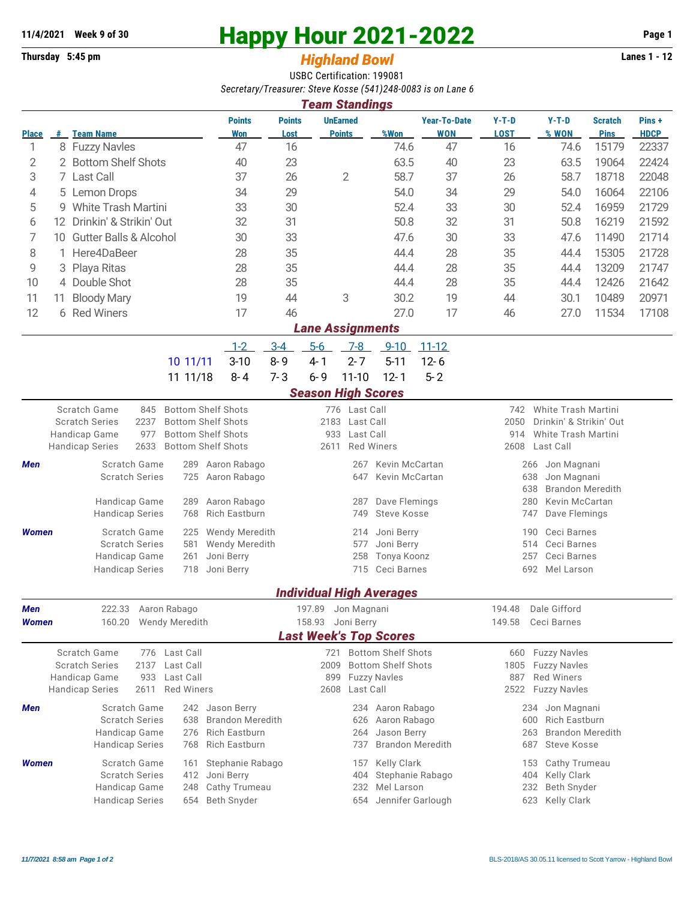## **11/4/2021** Week 9 of 30<br> **Happy Hour 2021-2022** Page 1<br> **Highland Rowl** Lanes 1 - 12

## **Thursday 5:45 pm** *Highland Bowl*

USBC Certification: 199081 *Secretary/Treasurer: Steve Kosse (541)248-0083 is on Lane 6*

| <b>Team Standings</b>         |                                 |                                                                                |                                         |                                                         |                           |                        |                                 |                                                           |                                |                                                        |                               |                      |  |  |  |
|-------------------------------|---------------------------------|--------------------------------------------------------------------------------|-----------------------------------------|---------------------------------------------------------|---------------------------|------------------------|---------------------------------|-----------------------------------------------------------|--------------------------------|--------------------------------------------------------|-------------------------------|----------------------|--|--|--|
| <b>Place</b>                  |                                 | # Team Name                                                                    | <b>Points</b><br>Won                    | <b>Points</b><br>Lost                                   | <b>UnEarned</b>           | <b>Points</b>          | %Won                            | <b>Year-To-Date</b><br><b>WON</b>                         | $Y-T-D$<br><b>LOST</b>         | $Y-T-D$<br>% WON                                       | <b>Scratch</b><br><b>Pins</b> | Pins+<br><b>HDCP</b> |  |  |  |
| 1                             |                                 | 8 Fuzzy Navles                                                                 | 47                                      | 16                                                      |                           |                        | 74.6                            | 47                                                        | 16                             | 74.6                                                   | 15179                         | 22337                |  |  |  |
| $\mathbf{2}$                  |                                 | 2 Bottom Shelf Shots                                                           | 40                                      | 23                                                      |                           |                        | 63.5                            | 40                                                        | 23                             | 63.5                                                   | 19064                         | 22424                |  |  |  |
| 3                             | 7 Last Call                     |                                                                                | 37                                      | 26                                                      | $\overline{2}$            |                        | 58.7                            | 37                                                        | 26                             | 58.7                                                   | 18718                         | 22048                |  |  |  |
| 4                             | 5 Lemon Drops                   |                                                                                | 34                                      | 29                                                      |                           |                        | 54.0                            | 34                                                        | 29                             | 54.0                                                   | 16064                         | 22106                |  |  |  |
| 5                             | <b>White Trash Martini</b><br>9 |                                                                                | 33                                      | 30                                                      |                           |                        | 52.4                            | 33                                                        | 30                             | 52.4                                                   | 16959                         | 21729                |  |  |  |
| 6                             | 12 Drinkin' & Strikin' Out      |                                                                                | 32                                      | 31                                                      |                           |                        | 50.8                            | 32                                                        | 31                             | 50.8                                                   | 16219                         | 21592                |  |  |  |
| 7                             | 10                              | <b>Gutter Balls &amp; Alcohol</b>                                              | 30                                      | 33                                                      |                           |                        |                                 | 47.6<br>30                                                | 33                             | 47.6                                                   | 11490                         | 21714                |  |  |  |
| 8                             | 1 Here4DaBeer                   |                                                                                |                                         | 35                                                      |                           |                        |                                 | 44.4<br>28                                                | 35                             | 44.4                                                   | 15305                         | 21728                |  |  |  |
| 9                             | Playa Ritas<br>3                |                                                                                | 28                                      | 35                                                      |                           |                        | 44.4                            | 28                                                        | 35                             | 44.4                                                   | 13209                         | 21747                |  |  |  |
| 10                            |                                 | 4 Double Shot<br>28                                                            |                                         | 35                                                      |                           |                        | 44.4                            | 28                                                        | 35                             | 44.4                                                   | 12426                         | 21642                |  |  |  |
| 11                            | 11                              | <b>Bloody Mary</b>                                                             | 19                                      | 44                                                      |                           | 3                      | 30.2                            | 19                                                        | 44                             | 30.1                                                   | 10489                         | 20971                |  |  |  |
| 12                            |                                 | 6 Red Winers                                                                   | 17                                      | 46                                                      |                           |                        | 27.0                            | 17                                                        | 46                             | 27.0                                                   | 11534                         | 17108                |  |  |  |
| <b>Lane Assignments</b>       |                                 |                                                                                |                                         |                                                         |                           |                        |                                 |                                                           |                                |                                                        |                               |                      |  |  |  |
|                               |                                 |                                                                                | $1 - 2$                                 | $3-4$                                                   | $5-6$                     | $7-8$                  | $9 - 10$                        | $11 - 12$                                                 |                                |                                                        |                               |                      |  |  |  |
|                               |                                 | 10 11/11                                                                       | $3 - 10$                                | $8 - 9$                                                 | $4 - 1$                   | $2 - 7$                | $5 - 11$                        | $12 - 6$                                                  |                                |                                                        |                               |                      |  |  |  |
|                               |                                 | 11 11/18                                                                       | $8 - 4$                                 | $7 - 3$                                                 | $6 - 9$                   | $11 - 10$              | $12 - 1$                        | $5 - 2$                                                   |                                |                                                        |                               |                      |  |  |  |
|                               |                                 |                                                                                |                                         |                                                         | <b>Season High Scores</b> |                        |                                 |                                                           |                                |                                                        |                               |                      |  |  |  |
|                               |                                 | <b>Scratch Game</b>                                                            | <b>Bottom Shelf Shots</b>               |                                                         |                           |                        |                                 |                                                           | 742                            |                                                        |                               |                      |  |  |  |
|                               |                                 | 845<br>2237<br><b>Scratch Series</b>                                           | <b>Bottom Shelf Shots</b>               | 776 Last Call<br>2183<br>Last Call                      |                           |                        |                                 |                                                           |                                | White Trash Martini<br>2050<br>Drinkin' & Strikin' Out |                               |                      |  |  |  |
|                               |                                 | 977<br>Handicap Game                                                           | <b>Bottom Shelf Shots</b>               | 933<br>Last Call                                        |                           |                        |                                 |                                                           | White Trash Martini<br>914     |                                                        |                               |                      |  |  |  |
|                               |                                 | 2633<br><b>Handicap Series</b>                                                 | <b>Bottom Shelf Shots</b>               |                                                         | 2611                      |                        | <b>Red Winers</b>               |                                                           | Last Call<br>2608              |                                                        |                               |                      |  |  |  |
| Men                           |                                 | Scratch Game<br>289                                                            | Aaron Rabago                            |                                                         |                           | 267                    | Kevin McCartan                  |                                                           | Jon Magnani<br>266             |                                                        |                               |                      |  |  |  |
|                               |                                 | <b>Scratch Series</b><br>725                                                   | Aaron Rabago                            | Kevin McCartan<br>647                                   |                           |                        |                                 |                                                           | 638<br>Jon Magnani             |                                                        |                               |                      |  |  |  |
|                               |                                 |                                                                                |                                         |                                                         |                           |                        |                                 |                                                           | <b>Brandon Meredith</b><br>638 |                                                        |                               |                      |  |  |  |
|                               |                                 | Handicap Game<br>289<br><b>Handicap Series</b><br>768                          | Aaron Rabago<br>Rich Eastburn           | Dave Flemings<br>287<br>Steve Kosse<br>749              |                           |                        |                                 |                                                           |                                | 280<br>Kevin McCartan<br>747<br>Dave Flemings          |                               |                      |  |  |  |
|                               |                                 |                                                                                |                                         |                                                         |                           |                        |                                 |                                                           |                                |                                                        |                               |                      |  |  |  |
| <b>Women</b>                  |                                 | Scratch Game<br>225<br><b>Scratch Series</b><br>581                            | Wendy Meredith<br><b>Wendy Meredith</b> | Joni Berry<br>214<br>Joni Berry<br>577                  |                           |                        |                                 |                                                           |                                | Ceci Barnes<br>190<br>514<br>Ceci Barnes               |                               |                      |  |  |  |
|                               |                                 | Handicap Game<br>261                                                           | Joni Berry                              | Tonya Koonz<br>258                                      |                           |                        |                                 |                                                           |                                | 257<br>Ceci Barnes                                     |                               |                      |  |  |  |
|                               |                                 | <b>Handicap Series</b><br>718                                                  | Joni Berry                              |                                                         |                           | Ceci Barnes<br>715     |                                 |                                                           | 692 Mel Larson                 |                                                        |                               |                      |  |  |  |
|                               |                                 |                                                                                |                                         |                                                         |                           |                        |                                 |                                                           |                                |                                                        |                               |                      |  |  |  |
|                               |                                 |                                                                                |                                         |                                                         |                           |                        | <b>Individual High Averages</b> |                                                           |                                |                                                        |                               |                      |  |  |  |
| Men                           |                                 | 222.33<br>Aaron Rabago                                                         |                                         |                                                         | 197.89                    | Jon Magnani            |                                 |                                                           | 194.48                         | Dale Gifford                                           |                               |                      |  |  |  |
| <b>Women</b>                  |                                 | 160.20<br><b>Wendy Meredith</b>                                                |                                         | Joni Berry<br>158.93                                    |                           |                        |                                 |                                                           |                                | 149.58<br>Ceci Barnes                                  |                               |                      |  |  |  |
| <b>Last Week's Top Scores</b> |                                 |                                                                                |                                         |                                                         |                           |                        |                                 |                                                           |                                |                                                        |                               |                      |  |  |  |
|                               |                                 | Scratch Game<br>Last Call<br>776<br><b>Scratch Series</b><br>2137<br>Last Call |                                         | 2009                                                    |                           | 721 Bottom Shelf Shots |                                 | <b>Fuzzy Navles</b><br>660<br><b>Fuzzy Navles</b><br>1805 |                                |                                                        |                               |                      |  |  |  |
|                               |                                 | Handicap Game<br>Last Call<br>933                                              |                                         | <b>Bottom Shelf Shots</b><br><b>Fuzzy Navles</b><br>899 |                           |                        |                                 |                                                           | <b>Red Winers</b><br>887       |                                                        |                               |                      |  |  |  |
|                               |                                 | <b>Handicap Series</b><br><b>Red Winers</b><br>2611                            |                                         |                                                         | Last Call<br>2608         |                        |                                 |                                                           |                                | <b>Fuzzy Navles</b><br>2522                            |                               |                      |  |  |  |
| Men                           |                                 | Scratch Game<br>242                                                            | Jason Berry                             |                                                         |                           | 234                    | Aaron Rabago                    |                                                           |                                | Jon Magnani<br>234                                     |                               |                      |  |  |  |
|                               |                                 | <b>Scratch Series</b><br>638                                                   | <b>Brandon Meredith</b>                 | Aaron Rabago<br>626                                     |                           |                        |                                 |                                                           | <b>Rich Eastburn</b><br>600    |                                                        |                               |                      |  |  |  |
|                               |                                 | Handicap Game<br>276                                                           | <b>Rich Eastburn</b>                    |                                                         | Jason Berry<br>264        |                        |                                 |                                                           |                                | <b>Brandon Meredith</b><br>263<br><b>Steve Kosse</b>   |                               |                      |  |  |  |
|                               |                                 | <b>Handicap Series</b><br>768                                                  | <b>Rich Eastburn</b>                    |                                                         |                           | 737                    | <b>Brandon Meredith</b>         |                                                           | 687                            |                                                        |                               |                      |  |  |  |
| Women                         |                                 | Scratch Game<br>161                                                            | Stephanie Rabago                        |                                                         |                           | 157                    | Kelly Clark                     |                                                           |                                | Cathy Trumeau<br>153                                   |                               |                      |  |  |  |
|                               |                                 | <b>Scratch Series</b><br>412                                                   | Joni Berry                              |                                                         | Stephanie Rabago<br>404   |                        |                                 |                                                           |                                | Kelly Clark<br>404<br>Beth Snyder                      |                               |                      |  |  |  |
|                               |                                 | Handicap Game<br>248                                                           | Cathy Trumeau                           |                                                         |                           | 232                    | Mel Larson                      |                                                           | 232                            |                                                        |                               |                      |  |  |  |
|                               |                                 | <b>Handicap Series</b><br>654                                                  | <b>Beth Snyder</b>                      |                                                         |                           | 654                    | Jennifer Garlough               |                                                           |                                | Kelly Clark<br>623                                     |                               |                      |  |  |  |